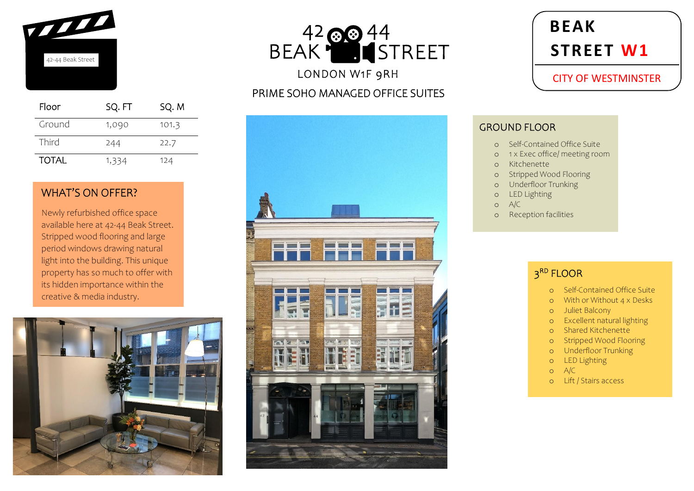

| Floor  | SQ. FT | SQ. M |
|--------|--------|-------|
| Ground | 1,090  | 101.3 |
| Third  | 244    | 22.7  |
| TOTAL  | 1,334  | 124   |

## WHAT'S ON OFFER?

Newly refurbished office space available here at 42-44 Beak Street. Stripped wood flooring and large period windows drawing natural light into the building. This unique property has so much to offer with its hidden importance within the creative & media industry.



BEAK STREET 42 32 44 PRIME SOHO MANAGED OFFICE SUITES LONDON W1F 9RH



# **BEAK STREET W1**

CITY OF WESTMINSTER

#### GROUND FLOOR

- o Self-Contained Office Suite
- o 1 x Exec office/ meeting room
- o Kitchenette
- o Stripped Wood Flooring
- o Underfloor Trunking
- o LED Lighting
- o A/C
- o Reception facilities

## 3<sup>RD</sup> FLOOR

- Self-Contained Office Suite
- o With or Without 4 x Desks
- o Juliet Balcony
- o Excellent natural lighting
- o Shared Kitchenette
- o Stripped Wood Flooring
- o Underfloor Trunking
- o LED Lighting
- o A/C
- o Lift / Stairs access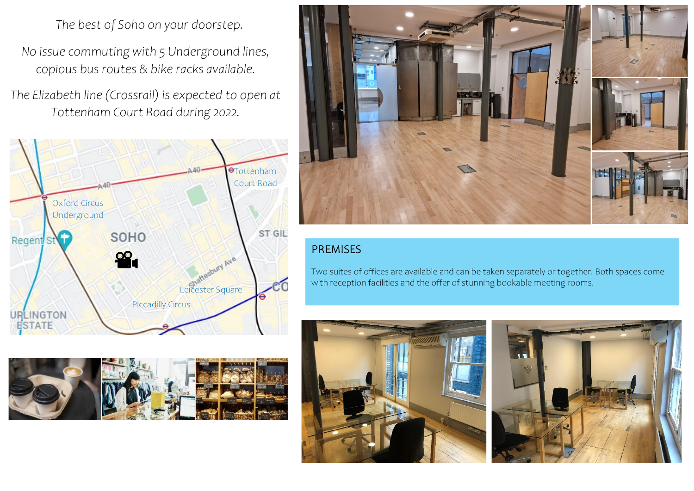*The best of Soho on your doorstep.*

*No issue commuting with 5 Underground lines, copious bus routes & bike racks available.*

*The Elizabeth line (Crossrail) is expected to open at Tottenham Court Road during 2022.*







## PREMISES

Two suites of offices are available and can be taken separately or together. Both spaces come with reception facilities and the offer of stunning bookable meeting rooms.